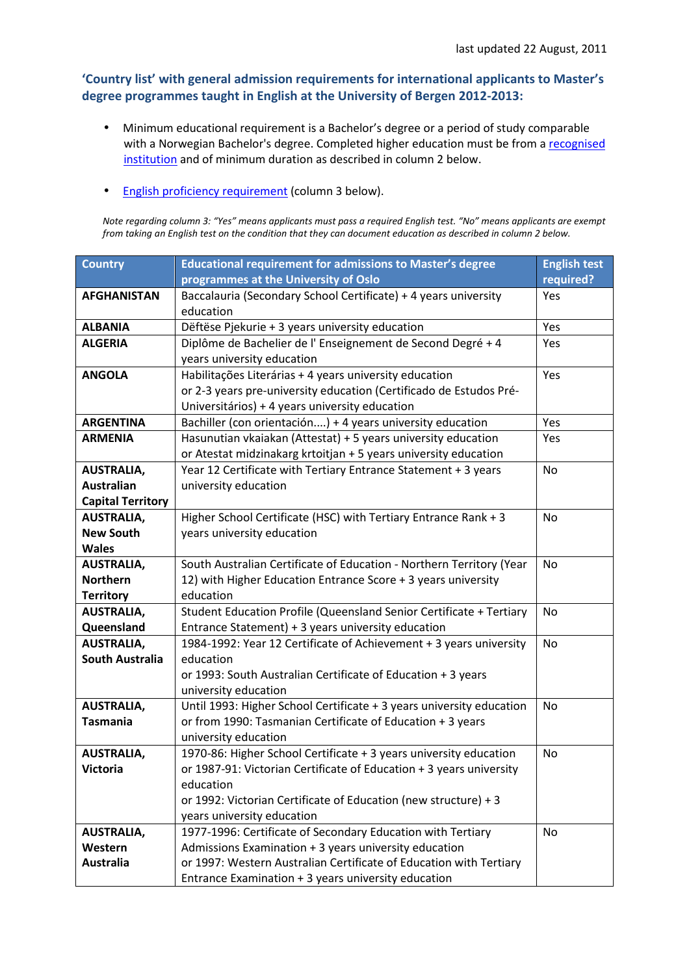## 'Country list' with general admission requirements for international applicants to Master's degree programmes taught in English at the University of Bergen 2012-2013:

- Minimum educational requirement is a Bachelor's degree or a period of study comparable with a Norwegian Bachelor's degree. Completed higher education must be from a recognised institution and of minimum duration as described in column 2 below.
- English proficiency requirement (column 3 below).

Note regarding column 3: "Yes" means applicants must pass a required English test. "No" means applicants are exempt from taking an English test on the condition that they can document education as described in column 2 below.

| <b>Country</b>           | <b>Educational requirement for admissions to Master's degree</b>     | <b>English test</b> |
|--------------------------|----------------------------------------------------------------------|---------------------|
|                          | programmes at the University of Oslo                                 | required?           |
| <b>AFGHANISTAN</b>       | Baccalauria (Secondary School Certificate) + 4 years university      | Yes                 |
|                          | education                                                            |                     |
| <b>ALBANIA</b>           | Dëftëse Pjekurie + 3 years university education                      | Yes                 |
| <b>ALGERIA</b>           | Diplôme de Bachelier de l'Enseignement de Second Degré + 4           | Yes                 |
|                          | years university education                                           |                     |
| <b>ANGOLA</b>            | Habilitações Literárias + 4 years university education               | Yes                 |
|                          | or 2-3 years pre-university education (Certificado de Estudos Pré-   |                     |
|                          | Universitários) + 4 years university education                       |                     |
| <b>ARGENTINA</b>         | Bachiller (con orientación) + 4 years university education           | Yes                 |
| <b>ARMENIA</b>           | Hasunutian vkaiakan (Attestat) + 5 years university education        | Yes                 |
|                          | or Atestat midzinakarg krtoitjan + 5 years university education      |                     |
| <b>AUSTRALIA,</b>        | Year 12 Certificate with Tertiary Entrance Statement + 3 years       | No                  |
| <b>Australian</b>        | university education                                                 |                     |
| <b>Capital Territory</b> |                                                                      |                     |
| <b>AUSTRALIA,</b>        | Higher School Certificate (HSC) with Tertiary Entrance Rank + 3      | No                  |
| <b>New South</b>         | years university education                                           |                     |
| <b>Wales</b>             |                                                                      |                     |
| <b>AUSTRALIA,</b>        | South Australian Certificate of Education - Northern Territory (Year | <b>No</b>           |
| <b>Northern</b>          | 12) with Higher Education Entrance Score + 3 years university        |                     |
| <b>Territory</b>         | education                                                            |                     |
| <b>AUSTRALIA,</b>        | Student Education Profile (Queensland Senior Certificate + Tertiary  | No                  |
| Queensland               | Entrance Statement) + 3 years university education                   |                     |
| <b>AUSTRALIA,</b>        | 1984-1992: Year 12 Certificate of Achievement + 3 years university   | No                  |
| <b>South Australia</b>   | education                                                            |                     |
|                          | or 1993: South Australian Certificate of Education + 3 years         |                     |
|                          | university education                                                 |                     |
| <b>AUSTRALIA,</b>        | Until 1993: Higher School Certificate + 3 years university education | No                  |
| <b>Tasmania</b>          | or from 1990: Tasmanian Certificate of Education + 3 years           |                     |
|                          | university education                                                 |                     |
| <b>AUSTRALIA,</b>        | 1970-86: Higher School Certificate + 3 years university education    | No                  |
| <b>Victoria</b>          | or 1987-91: Victorian Certificate of Education + 3 years university  |                     |
|                          | education                                                            |                     |
|                          | or 1992: Victorian Certificate of Education (new structure) + 3      |                     |
|                          | years university education                                           |                     |
| <b>AUSTRALIA,</b>        | 1977-1996: Certificate of Secondary Education with Tertiary          | <b>No</b>           |
| Western                  | Admissions Examination + 3 years university education                |                     |
| <b>Australia</b>         | or 1997: Western Australian Certificate of Education with Tertiary   |                     |
|                          | Entrance Examination + 3 years university education                  |                     |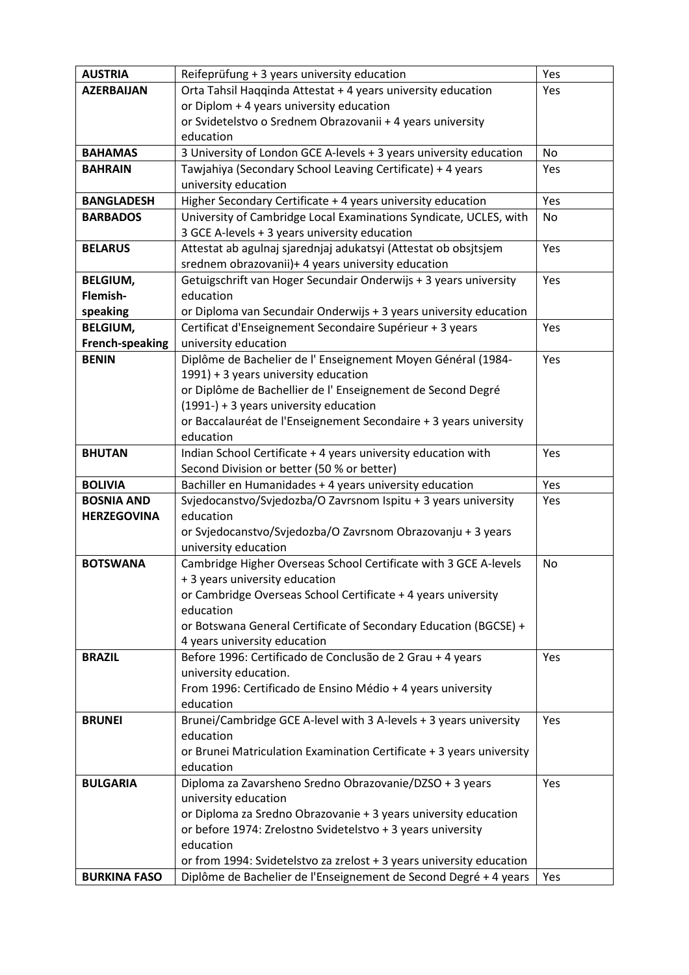| <b>AUSTRIA</b>      | Reifeprüfung + 3 years university education                                        | Yes       |
|---------------------|------------------------------------------------------------------------------------|-----------|
| <b>AZERBAIJAN</b>   | Orta Tahsil Haqqinda Attestat + 4 years university education                       | Yes       |
|                     | or Diplom + 4 years university education                                           |           |
|                     | or Svidetelstvo o Srednem Obrazovanii + 4 years university                         |           |
|                     | education                                                                          |           |
| <b>BAHAMAS</b>      | 3 University of London GCE A-levels + 3 years university education                 | <b>No</b> |
| <b>BAHRAIN</b>      | Tawjahiya (Secondary School Leaving Certificate) + 4 years                         | Yes       |
|                     | university education                                                               |           |
| <b>BANGLADESH</b>   | Higher Secondary Certificate + 4 years university education                        | Yes       |
| <b>BARBADOS</b>     | University of Cambridge Local Examinations Syndicate, UCLES, with                  | No        |
|                     | 3 GCE A-levels + 3 years university education                                      |           |
| <b>BELARUS</b>      | Attestat ab agulnaj sjarednjaj adukatsyi (Attestat ob obsjtsjem                    | Yes       |
|                     | srednem obrazovanii)+ 4 years university education                                 |           |
| <b>BELGIUM,</b>     | Getuigschrift van Hoger Secundair Onderwijs + 3 years university                   | Yes       |
| Flemish-            | education                                                                          |           |
| speaking            | or Diploma van Secundair Onderwijs + 3 years university education                  |           |
| <b>BELGIUM,</b>     | Certificat d'Enseignement Secondaire Supérieur + 3 years                           | Yes       |
| French-speaking     | university education                                                               |           |
| <b>BENIN</b>        | Diplôme de Bachelier de l'Enseignement Moyen Général (1984-                        | Yes       |
|                     | 1991) + 3 years university education                                               |           |
|                     | or Diplôme de Bachellier de l'Enseignement de Second Degré                         |           |
|                     | $(1991-) + 3$ years university education                                           |           |
|                     | or Baccalauréat de l'Enseignement Secondaire + 3 years university                  |           |
|                     | education                                                                          |           |
| <b>BHUTAN</b>       | Indian School Certificate + 4 years university education with                      | Yes       |
|                     | Second Division or better (50 % or better)                                         |           |
| <b>BOLIVIA</b>      | Bachiller en Humanidades + 4 years university education                            | Yes       |
| <b>BOSNIA AND</b>   | Svjedocanstvo/Svjedozba/O Zavrsnom Ispitu + 3 years university                     | Yes       |
| <b>HERZEGOVINA</b>  | education                                                                          |           |
|                     | or Svjedocanstvo/Svjedozba/O Zavrsnom Obrazovanju + 3 years                        |           |
|                     | university education                                                               |           |
| <b>BOTSWANA</b>     | Cambridge Higher Overseas School Certificate with 3 GCE A-levels                   | No        |
|                     | + 3 years university education                                                     |           |
|                     | or Cambridge Overseas School Certificate + 4 years university                      |           |
|                     | education                                                                          |           |
|                     | or Botswana General Certificate of Secondary Education (BGCSE) +                   |           |
|                     | 4 years university education                                                       |           |
| <b>BRAZIL</b>       | Before 1996: Certificado de Conclusão de 2 Grau + 4 years<br>university education. | Yes       |
|                     | From 1996: Certificado de Ensino Médio + 4 years university                        |           |
|                     | education                                                                          |           |
| <b>BRUNEI</b>       | Brunei/Cambridge GCE A-level with 3 A-levels + 3 years university                  | Yes       |
|                     | education                                                                          |           |
|                     | or Brunei Matriculation Examination Certificate + 3 years university               |           |
|                     | education                                                                          |           |
| <b>BULGARIA</b>     | Diploma za Zavarsheno Sredno Obrazovanie/DZSO + 3 years                            | Yes       |
|                     | university education                                                               |           |
|                     | or Diploma za Sredno Obrazovanie + 3 years university education                    |           |
|                     | or before 1974: Zrelostno Svidetelstvo + 3 years university                        |           |
|                     | education                                                                          |           |
|                     | or from 1994: Svidetelstvo za zrelost + 3 years university education               |           |
| <b>BURKINA FASO</b> | Diplôme de Bachelier de l'Enseignement de Second Degré + 4 years                   | Yes       |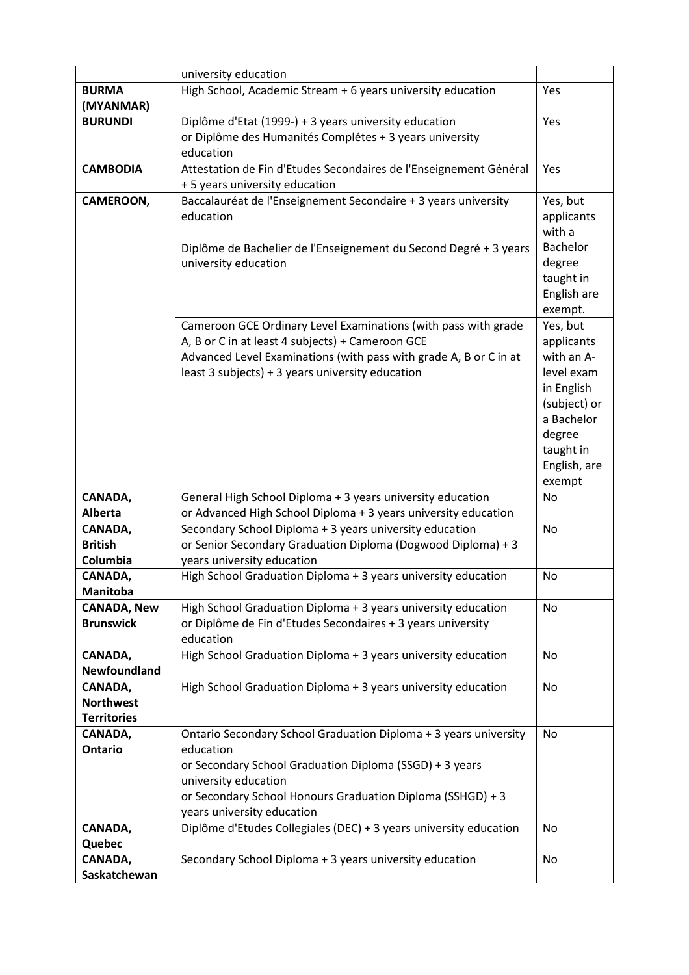|                    | university education                                                                                                      |                     |
|--------------------|---------------------------------------------------------------------------------------------------------------------------|---------------------|
| <b>BURMA</b>       | High School, Academic Stream + 6 years university education                                                               | Yes                 |
| (MYANMAR)          |                                                                                                                           |                     |
| <b>BURUNDI</b>     | Diplôme d'Etat (1999-) + 3 years university education                                                                     | Yes                 |
|                    | or Diplôme des Humanités Complétes + 3 years university                                                                   |                     |
|                    | education                                                                                                                 |                     |
| <b>CAMBODIA</b>    | Attestation de Fin d'Etudes Secondaires de l'Enseignement Général                                                         | Yes                 |
|                    | + 5 years university education                                                                                            |                     |
| CAMEROON,          | Baccalauréat de l'Enseignement Secondaire + 3 years university                                                            | Yes, but            |
|                    | education                                                                                                                 | applicants          |
|                    |                                                                                                                           | with a              |
|                    | Diplôme de Bachelier de l'Enseignement du Second Degré + 3 years                                                          | <b>Bachelor</b>     |
|                    | university education                                                                                                      | degree<br>taught in |
|                    |                                                                                                                           | English are         |
|                    |                                                                                                                           | exempt.             |
|                    | Cameroon GCE Ordinary Level Examinations (with pass with grade                                                            | Yes, but            |
|                    | A, B or C in at least 4 subjects) + Cameroon GCE                                                                          | applicants          |
|                    | Advanced Level Examinations (with pass with grade A, B or C in at                                                         | with an A-          |
|                    | least 3 subjects) + 3 years university education                                                                          | level exam          |
|                    |                                                                                                                           | in English          |
|                    |                                                                                                                           | (subject) or        |
|                    |                                                                                                                           | a Bachelor          |
|                    |                                                                                                                           | degree              |
|                    |                                                                                                                           | taught in           |
|                    |                                                                                                                           | English, are        |
|                    |                                                                                                                           | exempt              |
| CANADA,            | General High School Diploma + 3 years university education                                                                | No                  |
| Alberta<br>CANADA, | or Advanced High School Diploma + 3 years university education<br>Secondary School Diploma + 3 years university education | No                  |
| <b>British</b>     | or Senior Secondary Graduation Diploma (Dogwood Diploma) + 3                                                              |                     |
| Columbia           | years university education                                                                                                |                     |
| CANADA,            | High School Graduation Diploma + 3 years university education                                                             | No                  |
| <b>Manitoba</b>    |                                                                                                                           |                     |
| <b>CANADA, New</b> | High School Graduation Diploma + 3 years university education                                                             | <b>No</b>           |
| <b>Brunswick</b>   | or Diplôme de Fin d'Etudes Secondaires + 3 years university                                                               |                     |
|                    | education                                                                                                                 |                     |
| CANADA,            | High School Graduation Diploma + 3 years university education                                                             | <b>No</b>           |
| Newfoundland       |                                                                                                                           |                     |
| CANADA,            | High School Graduation Diploma + 3 years university education                                                             | No                  |
| <b>Northwest</b>   |                                                                                                                           |                     |
| <b>Territories</b> |                                                                                                                           |                     |
| CANADA,            | Ontario Secondary School Graduation Diploma + 3 years university                                                          | No                  |
| <b>Ontario</b>     | education                                                                                                                 |                     |
|                    | or Secondary School Graduation Diploma (SSGD) + 3 years                                                                   |                     |
|                    | university education                                                                                                      |                     |
|                    | or Secondary School Honours Graduation Diploma (SSHGD) + 3                                                                |                     |
|                    | years university education                                                                                                |                     |
| CANADA,            | Diplôme d'Etudes Collegiales (DEC) + 3 years university education                                                         | No                  |
| Quebec<br>CANADA,  | Secondary School Diploma + 3 years university education                                                                   | No                  |
| Saskatchewan       |                                                                                                                           |                     |
|                    |                                                                                                                           |                     |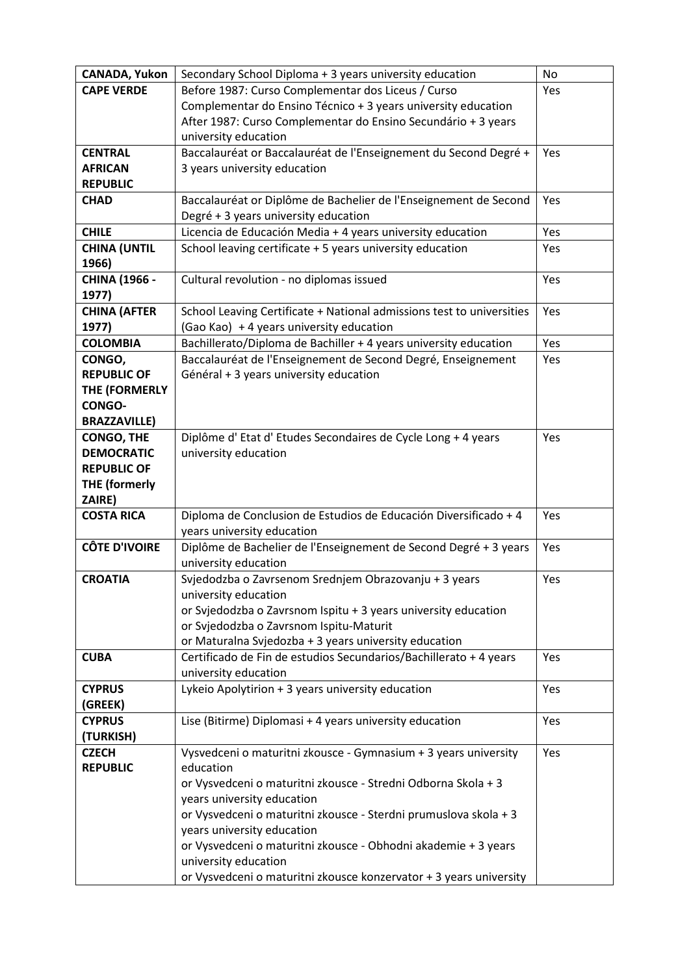| <b>CANADA, Yukon</b>     | Secondary School Diploma + 3 years university education               | <b>No</b> |
|--------------------------|-----------------------------------------------------------------------|-----------|
| <b>CAPE VERDE</b>        | Before 1987: Curso Complementar dos Liceus / Curso                    | Yes       |
|                          | Complementar do Ensino Técnico + 3 years university education         |           |
|                          | After 1987: Curso Complementar do Ensino Secundário + 3 years         |           |
|                          | university education                                                  |           |
| <b>CENTRAL</b>           | Baccalauréat or Baccalauréat de l'Enseignement du Second Degré +      | Yes       |
| <b>AFRICAN</b>           | 3 years university education                                          |           |
| <b>REPUBLIC</b>          |                                                                       |           |
| <b>CHAD</b>              | Baccalauréat or Diplôme de Bachelier de l'Enseignement de Second      | Yes       |
|                          | Degré + 3 years university education                                  |           |
| <b>CHILE</b>             | Licencia de Educación Media + 4 years university education            | Yes       |
| <b>CHINA (UNTIL</b>      | School leaving certificate + 5 years university education             | Yes       |
| 1966)                    |                                                                       |           |
| <b>CHINA (1966 -</b>     | Cultural revolution - no diplomas issued                              | Yes       |
| 1977)                    |                                                                       |           |
| <b>CHINA (AFTER</b>      | School Leaving Certificate + National admissions test to universities | Yes       |
| 1977)                    | (Gao Kao) + 4 years university education                              |           |
| <b>COLOMBIA</b>          | Bachillerato/Diploma de Bachiller + 4 years university education      | Yes       |
| CONGO,                   | Baccalauréat de l'Enseignement de Second Degré, Enseignement          | Yes       |
| <b>REPUBLIC OF</b>       | Général + 3 years university education                                |           |
| THE (FORMERLY            |                                                                       |           |
| <b>CONGO-</b>            |                                                                       |           |
| <b>BRAZZAVILLE)</b>      |                                                                       |           |
| <b>CONGO, THE</b>        | Diplôme d'Etat d'Etudes Secondaires de Cycle Long + 4 years           | Yes       |
| <b>DEMOCRATIC</b>        | university education                                                  |           |
| <b>REPUBLIC OF</b>       |                                                                       |           |
| <b>THE (formerly</b>     |                                                                       |           |
| ZAIRE)                   |                                                                       |           |
| <b>COSTA RICA</b>        | Diploma de Conclusion de Estudios de Educación Diversificado + 4      | Yes       |
|                          | years university education                                            |           |
| <b>CÔTE D'IVOIRE</b>     | Diplôme de Bachelier de l'Enseignement de Second Degré + 3 years      | Yes       |
|                          | university education                                                  |           |
| <b>CROATIA</b>           | Svjedodzba o Zavrsenom Srednjem Obrazovanju + 3 years                 | Yes       |
|                          | university education                                                  |           |
|                          | or Svjedodzba o Zavrsnom Ispitu + 3 years university education        |           |
|                          | or Svjedodzba o Zavrsnom Ispitu-Maturit                               |           |
|                          | or Maturalna Svjedozba + 3 years university education                 |           |
| <b>CUBA</b>              | Certificado de Fin de estudios Secundarios/Bachillerato + 4 years     | Yes       |
|                          | university education                                                  |           |
| <b>CYPRUS</b>            | Lykeio Apolytirion + 3 years university education                     | Yes       |
| (GREEK)<br><b>CYPRUS</b> |                                                                       |           |
| (TURKISH)                | Lise (Bitirme) Diplomasi + 4 years university education               | Yes       |
| <b>CZECH</b>             | Vysvedceni o maturitni zkousce - Gymnasium + 3 years university       | Yes       |
| <b>REPUBLIC</b>          | education                                                             |           |
|                          | or Vysvedceni o maturitni zkousce - Stredni Odborna Skola + 3         |           |
|                          | years university education                                            |           |
|                          | or Vysvedceni o maturitni zkousce - Sterdni prumuslova skola + 3      |           |
|                          | years university education                                            |           |
|                          | or Vysvedceni o maturitni zkousce - Obhodni akademie + 3 years        |           |
|                          | university education                                                  |           |
|                          | or Vysvedceni o maturitni zkousce konzervator + 3 years university    |           |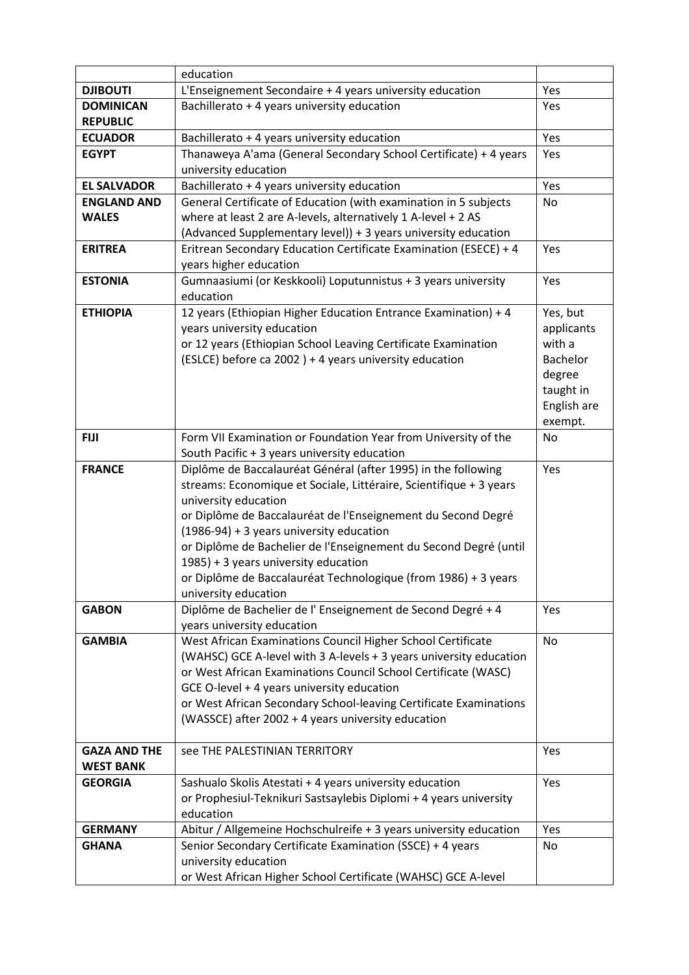|                     | education                                                                                                |                 |
|---------------------|----------------------------------------------------------------------------------------------------------|-----------------|
| <b>DJIBOUTI</b>     | L'Enseignement Secondaire + 4 years university education                                                 | Yes             |
| <b>DOMINICAN</b>    | Bachillerato + 4 years university education                                                              | Yes             |
| <b>REPUBLIC</b>     |                                                                                                          |                 |
| <b>ECUADOR</b>      | Bachillerato + 4 years university education                                                              | Yes             |
| <b>EGYPT</b>        | Thanaweya A'ama (General Secondary School Certificate) + 4 years                                         | Yes             |
|                     | university education                                                                                     |                 |
| <b>EL SALVADOR</b>  | Bachillerato + 4 years university education                                                              | Yes             |
| <b>ENGLAND AND</b>  | General Certificate of Education (with examination in 5 subjects                                         | No              |
| <b>WALES</b>        | where at least 2 are A-levels, alternatively 1 A-level + 2 AS                                            |                 |
|                     | (Advanced Supplementary level)) + 3 years university education                                           |                 |
| <b>ERITREA</b>      | Eritrean Secondary Education Certificate Examination (ESECE) + 4                                         | Yes             |
|                     | years higher education                                                                                   |                 |
| <b>ESTONIA</b>      | Gumnaasiumi (or Keskkooli) Loputunnistus + 3 years university<br>education                               | Yes             |
| <b>ETHIOPIA</b>     | 12 years (Ethiopian Higher Education Entrance Examination) + 4                                           | Yes, but        |
|                     | years university education                                                                               | applicants      |
|                     | or 12 years (Ethiopian School Leaving Certificate Examination                                            | with a          |
|                     | (ESLCE) before ca 2002 ) + 4 years university education                                                  | <b>Bachelor</b> |
|                     |                                                                                                          | degree          |
|                     |                                                                                                          | taught in       |
|                     |                                                                                                          | English are     |
|                     |                                                                                                          | exempt.         |
| <b>FIJI</b>         | Form VII Examination or Foundation Year from University of the                                           | No              |
|                     | South Pacific + 3 years university education                                                             |                 |
| <b>FRANCE</b>       | Diplôme de Baccalauréat Général (after 1995) in the following                                            | Yes             |
|                     | streams: Economique et Sociale, Littéraire, Scientifique + 3 years                                       |                 |
|                     | university education                                                                                     |                 |
|                     | or Diplôme de Baccalauréat de l'Enseignement du Second Degré                                             |                 |
|                     | $(1986-94) + 3$ years university education                                                               |                 |
|                     | or Diplôme de Bachelier de l'Enseignement du Second Degré (until<br>1985) + 3 years university education |                 |
|                     | or Diplôme de Baccalauréat Technologique (from 1986) + 3 years                                           |                 |
|                     | university education                                                                                     |                 |
| <b>GABON</b>        | Diplôme de Bachelier de l'Enseignement de Second Degré + 4                                               | Yes             |
|                     | years university education                                                                               |                 |
| <b>GAMBIA</b>       | West African Examinations Council Higher School Certificate                                              | <b>No</b>       |
|                     | (WAHSC) GCE A-level with 3 A-levels + 3 years university education                                       |                 |
|                     | or West African Examinations Council School Certificate (WASC)                                           |                 |
|                     | GCE O-level + 4 years university education                                                               |                 |
|                     | or West African Secondary School-leaving Certificate Examinations                                        |                 |
|                     | (WASSCE) after 2002 + 4 years university education                                                       |                 |
|                     |                                                                                                          |                 |
| <b>GAZA AND THE</b> | see THE PALESTINIAN TERRITORY                                                                            | Yes             |
| <b>WEST BANK</b>    |                                                                                                          |                 |
| <b>GEORGIA</b>      | Sashualo Skolis Atestati + 4 years university education                                                  | Yes             |
|                     | or Prophesiul-Teknikuri Sastsaylebis Diplomi + 4 years university<br>education                           |                 |
| <b>GERMANY</b>      | Abitur / Allgemeine Hochschulreife + 3 years university education                                        | Yes             |
| <b>GHANA</b>        | Senior Secondary Certificate Examination (SSCE) + 4 years                                                | No              |
|                     | university education                                                                                     |                 |
|                     | or West African Higher School Certificate (WAHSC) GCE A-level                                            |                 |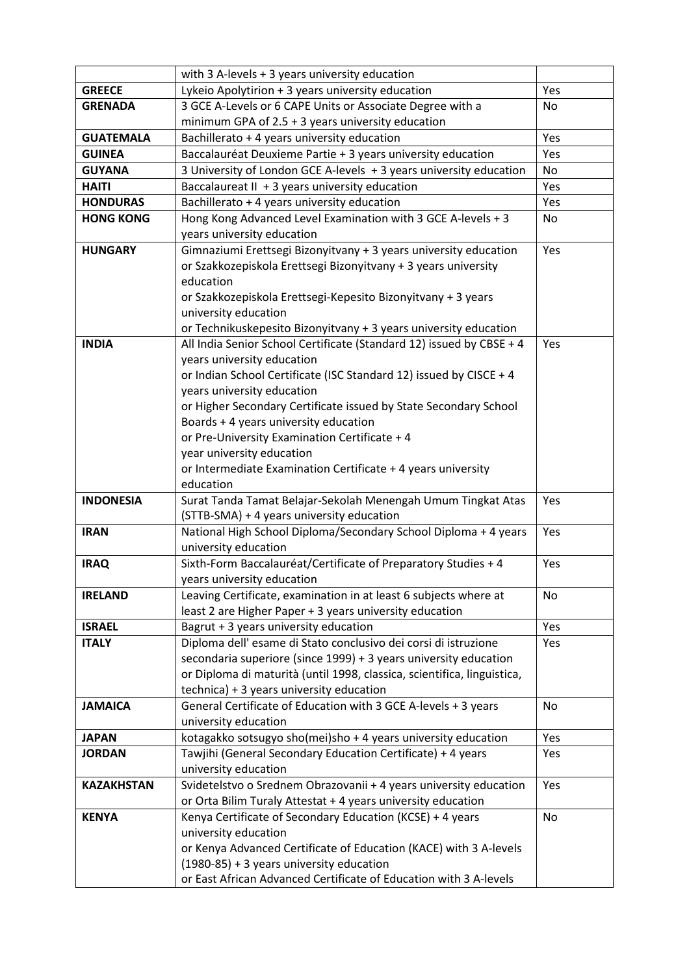|                   | with 3 A-levels + 3 years university education                                                          |           |
|-------------------|---------------------------------------------------------------------------------------------------------|-----------|
| <b>GREECE</b>     | Lykeio Apolytirion + 3 years university education                                                       | Yes       |
| <b>GRENADA</b>    | 3 GCE A-Levels or 6 CAPE Units or Associate Degree with a                                               | No        |
|                   | minimum GPA of $2.5 + 3$ years university education                                                     |           |
| <b>GUATEMALA</b>  | Bachillerato + 4 years university education                                                             | Yes       |
| <b>GUINEA</b>     | Baccalauréat Deuxieme Partie + 3 years university education                                             | Yes       |
| <b>GUYANA</b>     | 3 University of London GCE A-levels + 3 years university education                                      | No        |
| <b>HAITI</b>      | Baccalaureat II + 3 years university education                                                          | Yes       |
| <b>HONDURAS</b>   | Bachillerato + 4 years university education                                                             | Yes       |
| <b>HONG KONG</b>  | Hong Kong Advanced Level Examination with 3 GCE A-levels + 3                                            | No        |
|                   | years university education                                                                              |           |
| <b>HUNGARY</b>    | Gimnaziumi Erettsegi Bizonyitvany + 3 years university education                                        | Yes       |
|                   | or Szakkozepiskola Erettsegi Bizonyitvany + 3 years university                                          |           |
|                   | education                                                                                               |           |
|                   | or Szakkozepiskola Erettsegi-Kepesito Bizonyitvany + 3 years                                            |           |
|                   | university education                                                                                    |           |
|                   | or Technikuskepesito Bizonyitvany + 3 years university education                                        |           |
| <b>INDIA</b>      | All India Senior School Certificate (Standard 12) issued by CBSE + 4                                    | Yes       |
|                   | years university education                                                                              |           |
|                   | or Indian School Certificate (ISC Standard 12) issued by CISCE + 4                                      |           |
|                   | years university education                                                                              |           |
|                   | or Higher Secondary Certificate issued by State Secondary School                                        |           |
|                   | Boards + 4 years university education                                                                   |           |
|                   | or Pre-University Examination Certificate + 4                                                           |           |
|                   | year university education                                                                               |           |
|                   | or Intermediate Examination Certificate + 4 years university                                            |           |
|                   | education                                                                                               |           |
| <b>INDONESIA</b>  | Surat Tanda Tamat Belajar-Sekolah Menengah Umum Tingkat Atas                                            | Yes       |
|                   | (STTB-SMA) + 4 years university education                                                               |           |
| <b>IRAN</b>       | National High School Diploma/Secondary School Diploma + 4 years                                         | Yes       |
|                   | university education                                                                                    |           |
| <b>IRAQ</b>       | Sixth-Form Baccalauréat/Certificate of Preparatory Studies + 4                                          | Yes       |
|                   | years university education                                                                              |           |
| <b>IRELAND</b>    | Leaving Certificate, examination in at least 6 subjects where at                                        | No        |
|                   | least 2 are Higher Paper + 3 years university education                                                 |           |
| <b>ISRAEL</b>     | Bagrut + 3 years university education<br>Diploma dell'esame di Stato conclusivo dei corsi di istruzione | Yes       |
| <b>ITALY</b>      | secondaria superiore (since 1999) + 3 years university education                                        | Yes       |
|                   | or Diploma di maturità (until 1998, classica, scientifica, linguistica,                                 |           |
|                   | technica) + 3 years university education                                                                |           |
| <b>JAMAICA</b>    | General Certificate of Education with 3 GCE A-levels + 3 years                                          | <b>No</b> |
|                   | university education                                                                                    |           |
| <b>JAPAN</b>      | kotagakko sotsugyo sho(mei)sho + 4 years university education                                           | Yes       |
| <b>JORDAN</b>     | Tawjihi (General Secondary Education Certificate) + 4 years                                             | Yes       |
|                   | university education                                                                                    |           |
| <b>KAZAKHSTAN</b> | Svidetelstvo o Srednem Obrazovanii + 4 years university education                                       | Yes       |
|                   | or Orta Bilim Turaly Attestat + 4 years university education                                            |           |
| <b>KENYA</b>      | Kenya Certificate of Secondary Education (KCSE) + 4 years                                               | <b>No</b> |
|                   | university education                                                                                    |           |
|                   | or Kenya Advanced Certificate of Education (KACE) with 3 A-levels                                       |           |
|                   | $(1980-85) + 3$ years university education                                                              |           |
|                   | or East African Advanced Certificate of Education with 3 A-levels                                       |           |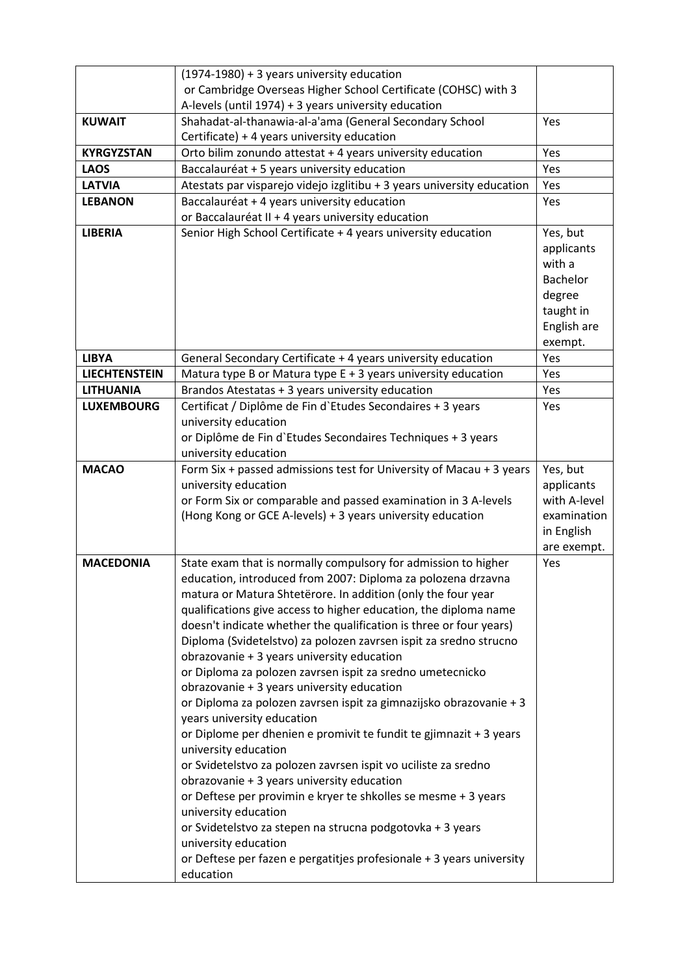|                      | (1974-1980) + 3 years university education                             |                 |
|----------------------|------------------------------------------------------------------------|-----------------|
|                      | or Cambridge Overseas Higher School Certificate (COHSC) with 3         |                 |
|                      | A-levels (until 1974) + 3 years university education                   |                 |
| <b>KUWAIT</b>        | Shahadat-al-thanawia-al-a'ama (General Secondary School                | Yes             |
|                      | Certificate) + 4 years university education                            |                 |
| <b>KYRGYZSTAN</b>    | Orto bilim zonundo attestat + 4 years university education             | Yes             |
| <b>LAOS</b>          | Baccalauréat + 5 years university education                            | Yes             |
| <b>LATVIA</b>        | Atestats par visparejo videjo izglitibu + 3 years university education | Yes             |
| <b>LEBANON</b>       | Baccalauréat + 4 years university education                            | Yes             |
|                      |                                                                        |                 |
|                      | or Baccalauréat II + 4 years university education                      |                 |
| <b>LIBERIA</b>       | Senior High School Certificate + 4 years university education          | Yes, but        |
|                      |                                                                        | applicants      |
|                      |                                                                        | with a          |
|                      |                                                                        | <b>Bachelor</b> |
|                      |                                                                        | degree          |
|                      |                                                                        | taught in       |
|                      |                                                                        | English are     |
|                      |                                                                        | exempt.         |
| <b>LIBYA</b>         | General Secondary Certificate + 4 years university education           | Yes             |
| <b>LIECHTENSTEIN</b> | Matura type B or Matura type E + 3 years university education          | Yes             |
| <b>LITHUANIA</b>     | Brandos Atestatas + 3 years university education                       | Yes             |
| <b>LUXEMBOURG</b>    | Certificat / Diplôme de Fin d'Etudes Secondaires + 3 years             | Yes             |
|                      | university education                                                   |                 |
|                      | or Diplôme de Fin d'Etudes Secondaires Techniques + 3 years            |                 |
|                      | university education                                                   |                 |
| <b>MACAO</b>         | Form Six + passed admissions test for University of Macau + 3 years    | Yes, but        |
|                      | university education                                                   | applicants      |
|                      | or Form Six or comparable and passed examination in 3 A-levels         | with A-level    |
|                      | (Hong Kong or GCE A-levels) + 3 years university education             | examination     |
|                      |                                                                        | in English      |
|                      |                                                                        | are exempt.     |
| <b>MACEDONIA</b>     | State exam that is normally compulsory for admission to higher         | Yes             |
|                      | education, introduced from 2007: Diploma za polozena drzavna           |                 |
|                      | matura or Matura Shtetërore. In addition (only the four year           |                 |
|                      | qualifications give access to higher education, the diploma name       |                 |
|                      | doesn't indicate whether the qualification is three or four years)     |                 |
|                      | Diploma (Svidetelstvo) za polozen zavrsen ispit za sredno strucno      |                 |
|                      | obrazovanie + 3 years university education                             |                 |
|                      | or Diploma za polozen zavrsen ispit za sredno umetecnicko              |                 |
|                      | obrazovanie + 3 years university education                             |                 |
|                      | or Diploma za polozen zavrsen ispit za gimnazijsko obrazovanie + 3     |                 |
|                      | years university education                                             |                 |
|                      | or Diplome per dhenien e promivit te fundit te gjimnazit + 3 years     |                 |
|                      | university education                                                   |                 |
|                      | or Svidetelstvo za polozen zavrsen ispit vo uciliste za sredno         |                 |
|                      | obrazovanie + 3 years university education                             |                 |
|                      | or Deftese per provimin e kryer te shkolles se mesme + 3 years         |                 |
|                      | university education                                                   |                 |
|                      | or Svidetelstvo za stepen na strucna podgotovka + 3 years              |                 |
|                      | university education                                                   |                 |
|                      | or Deftese per fazen e pergatitjes profesionale + 3 years university   |                 |
|                      | education                                                              |                 |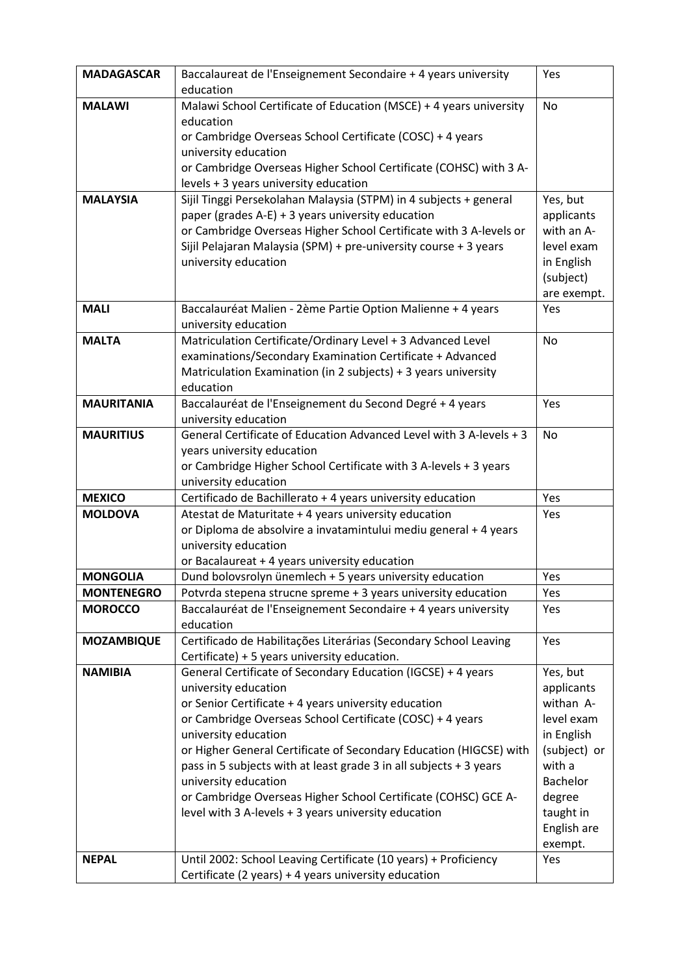| <b>MADAGASCAR</b> | Baccalaureat de l'Enseignement Secondaire + 4 years university                                                                  | Yes                      |
|-------------------|---------------------------------------------------------------------------------------------------------------------------------|--------------------------|
|                   | education                                                                                                                       |                          |
| <b>MALAWI</b>     | Malawi School Certificate of Education (MSCE) + 4 years university                                                              | No                       |
|                   | education                                                                                                                       |                          |
|                   | or Cambridge Overseas School Certificate (COSC) + 4 years                                                                       |                          |
|                   | university education                                                                                                            |                          |
|                   | or Cambridge Overseas Higher School Certificate (COHSC) with 3 A-                                                               |                          |
|                   | levels + 3 years university education                                                                                           |                          |
| <b>MALAYSIA</b>   | Sijil Tinggi Persekolahan Malaysia (STPM) in 4 subjects + general                                                               | Yes, but                 |
|                   | paper (grades $A-E$ ) + 3 years university education                                                                            | applicants               |
|                   | or Cambridge Overseas Higher School Certificate with 3 A-levels or                                                              | with an A-               |
|                   | Sijil Pelajaran Malaysia (SPM) + pre-university course + 3 years                                                                | level exam               |
|                   | university education                                                                                                            | in English               |
|                   |                                                                                                                                 | (subject)<br>are exempt. |
| <b>MALI</b>       | Baccalauréat Malien - 2ème Partie Option Malienne + 4 years                                                                     | Yes                      |
|                   | university education                                                                                                            |                          |
| <b>MALTA</b>      | Matriculation Certificate/Ordinary Level + 3 Advanced Level                                                                     | <b>No</b>                |
|                   | examinations/Secondary Examination Certificate + Advanced                                                                       |                          |
|                   | Matriculation Examination (in 2 subjects) + 3 years university                                                                  |                          |
|                   | education                                                                                                                       |                          |
| <b>MAURITANIA</b> | Baccalauréat de l'Enseignement du Second Degré + 4 years                                                                        | Yes                      |
|                   | university education                                                                                                            |                          |
| <b>MAURITIUS</b>  | General Certificate of Education Advanced Level with 3 A-levels + 3                                                             | No                       |
|                   | years university education                                                                                                      |                          |
|                   | or Cambridge Higher School Certificate with 3 A-levels + 3 years                                                                |                          |
|                   | university education                                                                                                            |                          |
| <b>MEXICO</b>     | Certificado de Bachillerato + 4 years university education                                                                      | Yes                      |
| <b>MOLDOVA</b>    | Atestat de Maturitate + 4 years university education                                                                            | Yes                      |
|                   | or Diploma de absolvire a invatamintului mediu general + 4 years                                                                |                          |
|                   | university education                                                                                                            |                          |
| <b>MONGOLIA</b>   | or Bacalaureat + 4 years university education                                                                                   |                          |
| <b>MONTENEGRO</b> | Dund bolovsrolyn ünemlech + 5 years university education                                                                        | Yes<br>Yes               |
| <b>MOROCCO</b>    | Potvrda stepena strucne spreme + 3 years university education<br>Baccalauréat de l'Enseignement Secondaire + 4 years university | Yes                      |
|                   | education                                                                                                                       |                          |
| <b>MOZAMBIQUE</b> | Certificado de Habilitações Literárias (Secondary School Leaving                                                                | Yes                      |
|                   | Certificate) + 5 years university education.                                                                                    |                          |
| <b>NAMIBIA</b>    | General Certificate of Secondary Education (IGCSE) + 4 years                                                                    | Yes, but                 |
|                   | university education                                                                                                            | applicants               |
|                   | or Senior Certificate + 4 years university education                                                                            | withan A-                |
|                   | or Cambridge Overseas School Certificate (COSC) + 4 years                                                                       | level exam               |
|                   | university education                                                                                                            | in English               |
|                   | or Higher General Certificate of Secondary Education (HIGCSE) with                                                              | (subject) or             |
|                   | pass in 5 subjects with at least grade 3 in all subjects + 3 years                                                              | with a                   |
|                   | university education                                                                                                            | <b>Bachelor</b>          |
|                   | or Cambridge Overseas Higher School Certificate (COHSC) GCE A-                                                                  | degree                   |
|                   | level with 3 A-levels + 3 years university education                                                                            | taught in                |
|                   |                                                                                                                                 | English are              |
|                   |                                                                                                                                 | exempt.                  |
| <b>NEPAL</b>      | Until 2002: School Leaving Certificate (10 years) + Proficiency                                                                 | Yes                      |
|                   | Certificate (2 years) + 4 years university education                                                                            |                          |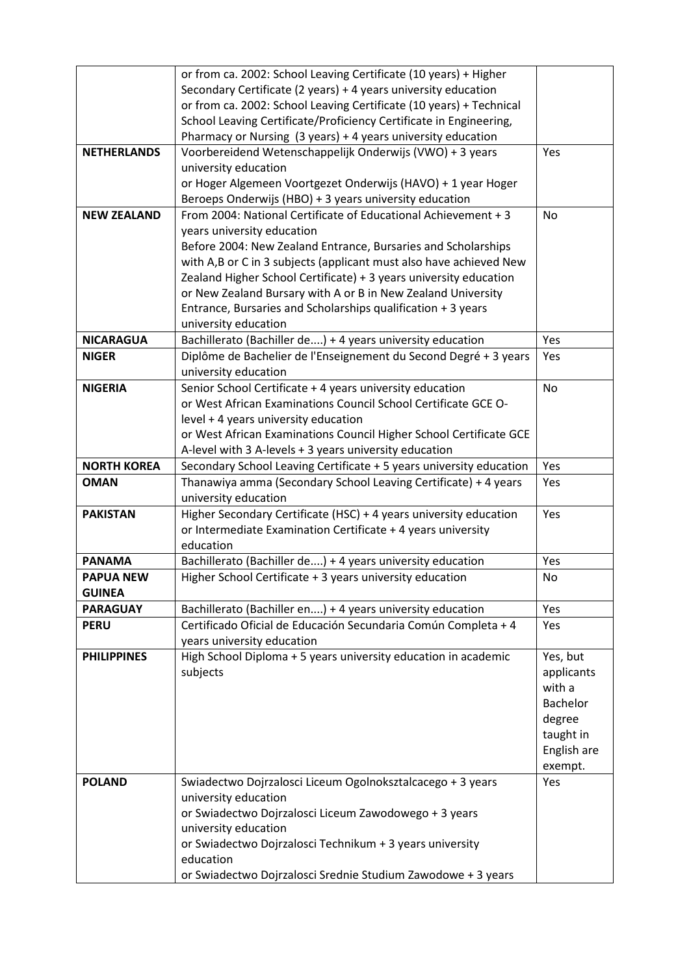|                    | or from ca. 2002: School Leaving Certificate (10 years) + Higher          |             |
|--------------------|---------------------------------------------------------------------------|-------------|
|                    | Secondary Certificate (2 years) + 4 years university education            |             |
|                    | or from ca. 2002: School Leaving Certificate (10 years) + Technical       |             |
|                    | School Leaving Certificate/Proficiency Certificate in Engineering,        |             |
|                    | Pharmacy or Nursing (3 years) + 4 years university education              |             |
| <b>NETHERLANDS</b> | Voorbereidend Wetenschappelijk Onderwijs (VWO) + 3 years                  | Yes         |
|                    | university education                                                      |             |
|                    | or Hoger Algemeen Voortgezet Onderwijs (HAVO) + 1 year Hoger              |             |
|                    | Beroeps Onderwijs (HBO) + 3 years university education                    |             |
| <b>NEW ZEALAND</b> | From 2004: National Certificate of Educational Achievement + 3            | <b>No</b>   |
|                    | years university education                                                |             |
|                    | Before 2004: New Zealand Entrance, Bursaries and Scholarships             |             |
|                    | with A,B or C in 3 subjects (applicant must also have achieved New        |             |
|                    | Zealand Higher School Certificate) + 3 years university education         |             |
|                    | or New Zealand Bursary with A or B in New Zealand University              |             |
|                    | Entrance, Bursaries and Scholarships qualification + 3 years              |             |
|                    | university education                                                      |             |
| <b>NICARAGUA</b>   | Bachillerato (Bachiller de) + 4 years university education                | Yes         |
| <b>NIGER</b>       | Diplôme de Bachelier de l'Enseignement du Second Degré + 3 years          | Yes         |
|                    | university education                                                      |             |
| <b>NIGERIA</b>     | Senior School Certificate + 4 years university education                  | <b>No</b>   |
|                    | or West African Examinations Council School Certificate GCE O-            |             |
|                    | level + 4 years university education                                      |             |
|                    | or West African Examinations Council Higher School Certificate GCE        |             |
|                    | A-level with 3 A-levels + 3 years university education                    |             |
| <b>NORTH KOREA</b> | Secondary School Leaving Certificate + 5 years university education       | Yes         |
| <b>OMAN</b>        | Thanawiya amma (Secondary School Leaving Certificate) + 4 years           | Yes         |
|                    | university education                                                      |             |
| <b>PAKISTAN</b>    | Higher Secondary Certificate (HSC) + 4 years university education         | Yes         |
|                    | or Intermediate Examination Certificate + 4 years university              |             |
|                    | education                                                                 |             |
| <b>PANAMA</b>      | Bachillerato (Bachiller de) + 4 years university education                | Yes         |
| <b>PAPUA NEW</b>   | Higher School Certificate + 3 years university education                  | No          |
| <b>GUINEA</b>      |                                                                           |             |
| <b>PARAGUAY</b>    | Bachillerato (Bachiller en) + 4 years university education                | Yes         |
| <b>PERU</b>        | Certificado Oficial de Educación Secundaria Común Completa + 4            | Yes         |
|                    | years university education                                                |             |
| <b>PHILIPPINES</b> | High School Diploma + 5 years university education in academic            | Yes, but    |
|                    | subjects                                                                  | applicants  |
|                    |                                                                           | with a      |
|                    |                                                                           | Bachelor    |
|                    |                                                                           | degree      |
|                    |                                                                           | taught in   |
|                    |                                                                           | English are |
|                    |                                                                           | exempt.     |
| <b>POLAND</b>      | Swiadectwo Dojrzalosci Liceum Ogolnoksztalcacego + 3 years                | Yes         |
|                    |                                                                           |             |
|                    | university education                                                      |             |
|                    | or Swiadectwo Dojrzalosci Liceum Zawodowego + 3 years                     |             |
|                    | university education                                                      |             |
|                    | or Swiadectwo Dojrzalosci Technikum + 3 years university                  |             |
|                    | education<br>or Swiadectwo Dojrzalosci Srednie Studium Zawodowe + 3 years |             |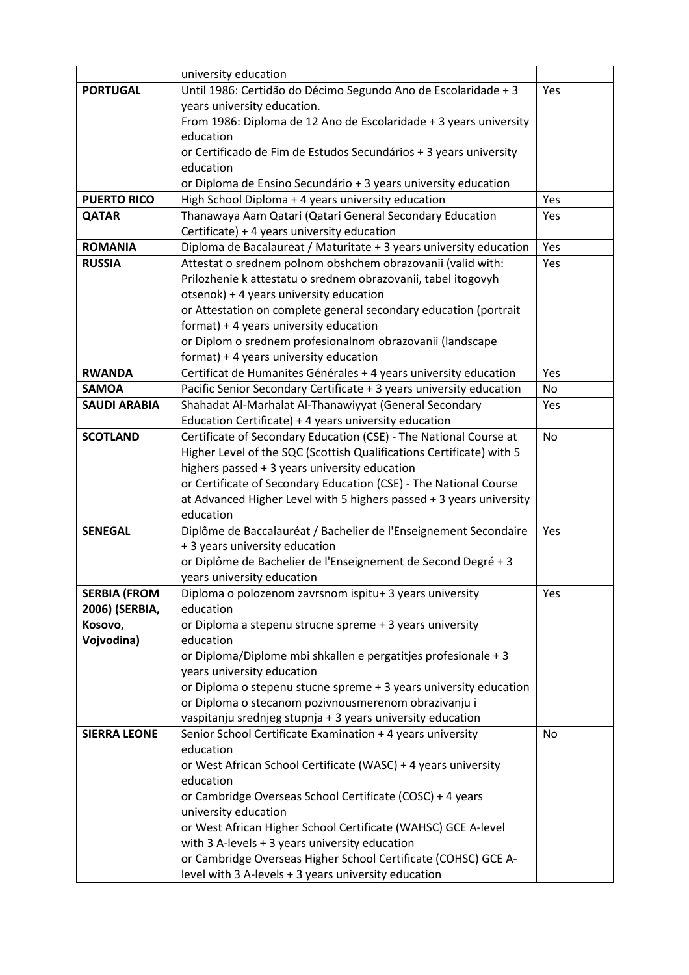|                     | university education                                                                                |           |
|---------------------|-----------------------------------------------------------------------------------------------------|-----------|
| <b>PORTUGAL</b>     | Until 1986: Certidão do Décimo Segundo Ano de Escolaridade + 3                                      | Yes       |
|                     | years university education.                                                                         |           |
|                     | From 1986: Diploma de 12 Ano de Escolaridade + 3 years university                                   |           |
|                     | education                                                                                           |           |
|                     | or Certificado de Fim de Estudos Secundários + 3 years university                                   |           |
|                     | education                                                                                           |           |
|                     | or Diploma de Ensino Secundário + 3 years university education                                      |           |
| <b>PUERTO RICO</b>  | High School Diploma + 4 years university education                                                  | Yes       |
| <b>QATAR</b>        | Thanawaya Aam Qatari (Qatari General Secondary Education                                            | Yes       |
|                     | Certificate) + 4 years university education                                                         |           |
| <b>ROMANIA</b>      | Diploma de Bacalaureat / Maturitate + 3 years university education                                  | Yes       |
| <b>RUSSIA</b>       | Attestat o srednem polnom obshchem obrazovanii (valid with:                                         | Yes       |
|                     | Prilozhenie k attestatu o srednem obrazovanii, tabel itogovyh                                       |           |
|                     | otsenok) + 4 years university education                                                             |           |
|                     | or Attestation on complete general secondary education (portrait                                    |           |
|                     | format) + 4 years university education                                                              |           |
|                     | or Diplom o srednem profesionalnom obrazovanii (landscape<br>format) + 4 years university education |           |
| <b>RWANDA</b>       | Certificat de Humanites Générales + 4 years university education                                    | Yes       |
| <b>SAMOA</b>        | Pacific Senior Secondary Certificate + 3 years university education                                 | No        |
| <b>SAUDI ARABIA</b> | Shahadat Al-Marhalat Al-Thanawiyyat (General Secondary                                              | Yes       |
|                     | Education Certificate) + 4 years university education                                               |           |
| <b>SCOTLAND</b>     | Certificate of Secondary Education (CSE) - The National Course at                                   | No        |
|                     | Higher Level of the SQC (Scottish Qualifications Certificate) with 5                                |           |
|                     | highers passed + 3 years university education                                                       |           |
|                     | or Certificate of Secondary Education (CSE) - The National Course                                   |           |
|                     | at Advanced Higher Level with 5 highers passed + 3 years university                                 |           |
|                     | education                                                                                           |           |
| <b>SENEGAL</b>      | Diplôme de Baccalauréat / Bachelier de l'Enseignement Secondaire                                    | Yes       |
|                     | + 3 years university education                                                                      |           |
|                     | or Diplôme de Bachelier de l'Enseignement de Second Degré + 3                                       |           |
|                     | years university education                                                                          |           |
| <b>SERBIA (FROM</b> | Diploma o polozenom zavrsnom ispitu+ 3 years university                                             | Yes       |
| 2006) (SERBIA,      | education                                                                                           |           |
| Kosovo,             | or Diploma a stepenu strucne spreme + 3 years university                                            |           |
| Vojvodina)          | education                                                                                           |           |
|                     | or Diploma/Diplome mbi shkallen e pergatitjes profesionale + 3<br>years university education        |           |
|                     | or Diploma o stepenu stucne spreme + 3 years university education                                   |           |
|                     | or Diploma o stecanom pozivnousmerenom obrazivanju i                                                |           |
|                     | vaspitanju srednjeg stupnja + 3 years university education                                          |           |
| <b>SIERRA LEONE</b> | Senior School Certificate Examination + 4 years university                                          | <b>No</b> |
|                     | education                                                                                           |           |
|                     | or West African School Certificate (WASC) + 4 years university                                      |           |
|                     | education                                                                                           |           |
|                     | or Cambridge Overseas School Certificate (COSC) + 4 years                                           |           |
|                     | university education                                                                                |           |
|                     | or West African Higher School Certificate (WAHSC) GCE A-level                                       |           |
|                     | with 3 A-levels + 3 years university education                                                      |           |
|                     | or Cambridge Overseas Higher School Certificate (COHSC) GCE A-                                      |           |
|                     | level with 3 A-levels + 3 years university education                                                |           |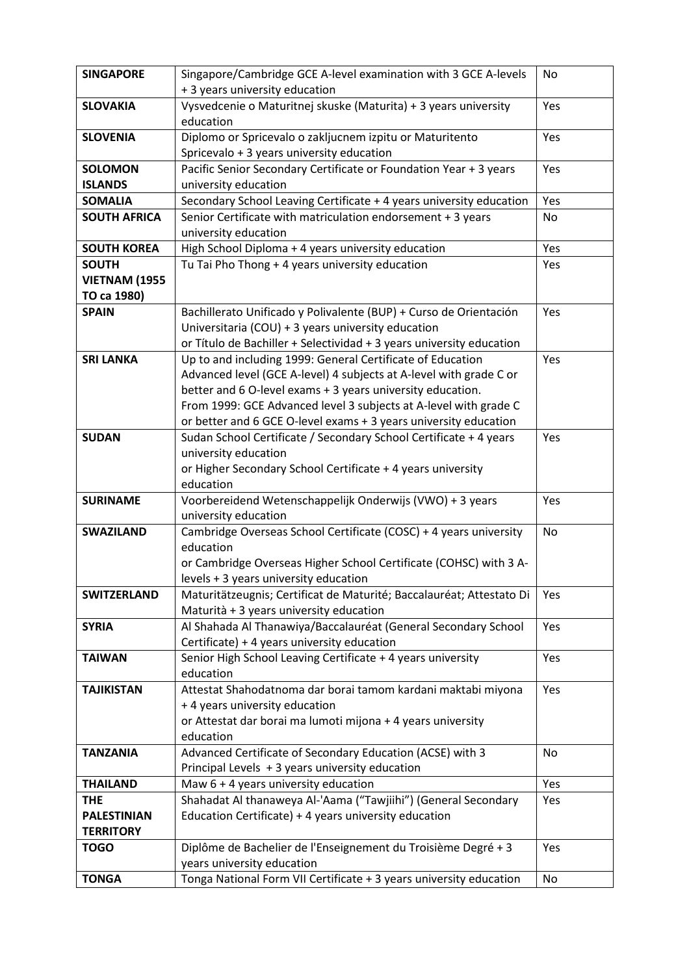| <b>SINGAPORE</b>     | Singapore/Cambridge GCE A-level examination with 3 GCE A-levels                                       | No        |
|----------------------|-------------------------------------------------------------------------------------------------------|-----------|
|                      | + 3 years university education                                                                        |           |
| <b>SLOVAKIA</b>      | Vysvedcenie o Maturitnej skuske (Maturita) + 3 years university<br>education                          | Yes       |
| <b>SLOVENIA</b>      | Diplomo or Spricevalo o zakljucnem izpitu or Maturitento<br>Spricevalo + 3 years university education | Yes       |
| <b>SOLOMON</b>       | Pacific Senior Secondary Certificate or Foundation Year + 3 years                                     | Yes       |
| <b>ISLANDS</b>       | university education                                                                                  |           |
| <b>SOMALIA</b>       | Secondary School Leaving Certificate + 4 years university education                                   | Yes       |
| <b>SOUTH AFRICA</b>  | Senior Certificate with matriculation endorsement + 3 years                                           | No        |
|                      | university education                                                                                  |           |
| <b>SOUTH KOREA</b>   | High School Diploma + 4 years university education                                                    | Yes       |
| <b>SOUTH</b>         | Tu Tai Pho Thong + 4 years university education                                                       | Yes       |
| <b>VIETNAM (1955</b> |                                                                                                       |           |
| TO ca 1980)          |                                                                                                       |           |
| <b>SPAIN</b>         | Bachillerato Unificado y Polivalente (BUP) + Curso de Orientación                                     | Yes       |
|                      | Universitaria (COU) + 3 years university education                                                    |           |
|                      | or Título de Bachiller + Selectividad + 3 years university education                                  |           |
| <b>SRI LANKA</b>     | Up to and including 1999: General Certificate of Education                                            | Yes       |
|                      | Advanced level (GCE A-level) 4 subjects at A-level with grade C or                                    |           |
|                      | better and 6 O-level exams + 3 years university education.                                            |           |
|                      | From 1999: GCE Advanced level 3 subjects at A-level with grade C                                      |           |
|                      | or better and 6 GCE O-level exams + 3 years university education                                      |           |
| <b>SUDAN</b>         | Sudan School Certificate / Secondary School Certificate + 4 years                                     | Yes       |
|                      | university education                                                                                  |           |
|                      | or Higher Secondary School Certificate + 4 years university                                           |           |
|                      | education                                                                                             |           |
| <b>SURINAME</b>      | Voorbereidend Wetenschappelijk Onderwijs (VWO) + 3 years                                              | Yes       |
|                      | university education                                                                                  |           |
| <b>SWAZILAND</b>     | Cambridge Overseas School Certificate (COSC) + 4 years university                                     | <b>No</b> |
|                      | education                                                                                             |           |
|                      | or Cambridge Overseas Higher School Certificate (COHSC) with 3 A-                                     |           |
|                      | levels + 3 years university education                                                                 |           |
| <b>SWITZERLAND</b>   | Maturitätzeugnis; Certificat de Maturité; Baccalauréat; Attestato Di                                  | Yes       |
|                      | Maturità + 3 years university education                                                               |           |
| <b>SYRIA</b>         | Al Shahada Al Thanawiya/Baccalauréat (General Secondary School                                        | Yes       |
|                      | Certificate) + 4 years university education                                                           |           |
| <b>TAIWAN</b>        | Senior High School Leaving Certificate + 4 years university<br>education                              | Yes       |
| <b>TAJIKISTAN</b>    | Attestat Shahodatnoma dar borai tamom kardani maktabi miyona                                          | Yes       |
|                      | + 4 years university education                                                                        |           |
|                      | or Attestat dar borai ma lumoti mijona + 4 years university                                           |           |
|                      | education                                                                                             |           |
| <b>TANZANIA</b>      | Advanced Certificate of Secondary Education (ACSE) with 3                                             | <b>No</b> |
|                      | Principal Levels + 3 years university education                                                       |           |
| <b>THAILAND</b>      | Maw $6 + 4$ years university education                                                                | Yes       |
| <b>THE</b>           | Shahadat Al thanaweya Al-'Aama ("Tawjiihi") (General Secondary                                        | Yes       |
| <b>PALESTINIAN</b>   | Education Certificate) + 4 years university education                                                 |           |
| <b>TERRITORY</b>     |                                                                                                       |           |
| <b>TOGO</b>          | Diplôme de Bachelier de l'Enseignement du Troisième Degré + 3                                         | Yes       |
|                      | years university education                                                                            |           |
| <b>TONGA</b>         | Tonga National Form VII Certificate + 3 years university education                                    | No        |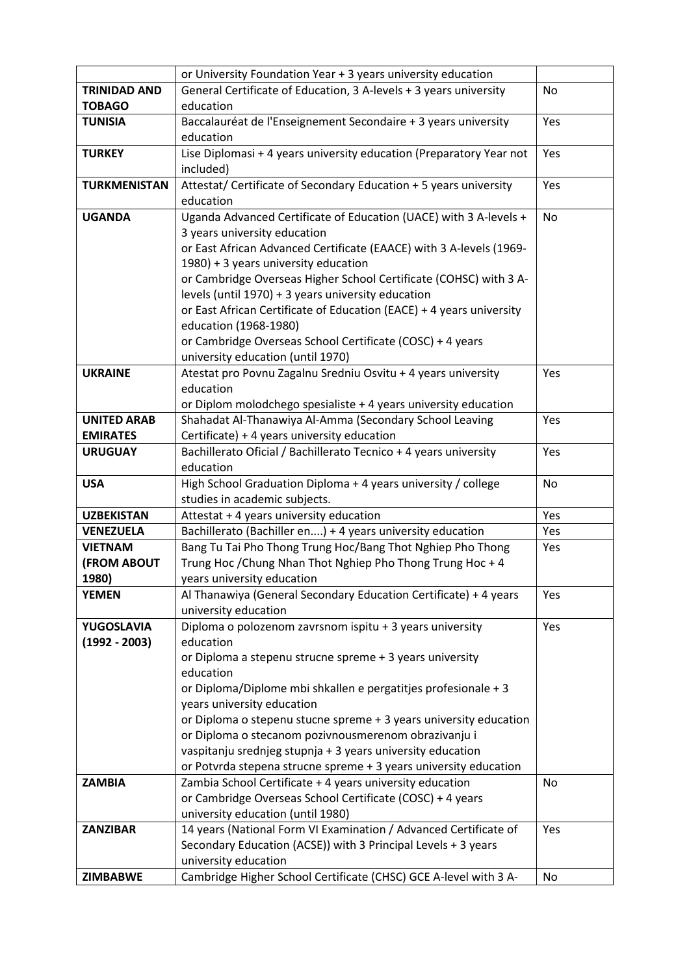|                     | or University Foundation Year + 3 years university education                                                                   |     |
|---------------------|--------------------------------------------------------------------------------------------------------------------------------|-----|
| <b>TRINIDAD AND</b> | General Certificate of Education, 3 A-levels + 3 years university                                                              | No  |
| <b>TOBAGO</b>       | education                                                                                                                      |     |
| <b>TUNISIA</b>      | Baccalauréat de l'Enseignement Secondaire + 3 years university                                                                 | Yes |
|                     | education                                                                                                                      |     |
| <b>TURKEY</b>       | Lise Diplomasi + 4 years university education (Preparatory Year not                                                            | Yes |
|                     | included)                                                                                                                      |     |
| <b>TURKMENISTAN</b> | Attestat/ Certificate of Secondary Education + 5 years university                                                              | Yes |
|                     | education                                                                                                                      |     |
| <b>UGANDA</b>       | Uganda Advanced Certificate of Education (UACE) with 3 A-levels +                                                              | No  |
|                     | 3 years university education                                                                                                   |     |
|                     | or East African Advanced Certificate (EAACE) with 3 A-levels (1969-                                                            |     |
|                     | 1980) + 3 years university education                                                                                           |     |
|                     | or Cambridge Overseas Higher School Certificate (COHSC) with 3 A-                                                              |     |
|                     | levels (until 1970) + 3 years university education                                                                             |     |
|                     | or East African Certificate of Education (EACE) + 4 years university                                                           |     |
|                     | education (1968-1980)                                                                                                          |     |
|                     | or Cambridge Overseas School Certificate (COSC) + 4 years                                                                      |     |
|                     | university education (until 1970)                                                                                              |     |
| <b>UKRAINE</b>      | Atestat pro Povnu Zagalnu Sredniu Osvitu + 4 years university                                                                  | Yes |
|                     | education                                                                                                                      |     |
|                     | or Diplom molodchego spesialiste + 4 years university education                                                                |     |
| <b>UNITED ARAB</b>  | Shahadat Al-Thanawiya Al-Amma (Secondary School Leaving                                                                        | Yes |
| <b>EMIRATES</b>     | Certificate) + 4 years university education                                                                                    |     |
| <b>URUGUAY</b>      | Bachillerato Oficial / Bachillerato Tecnico + 4 years university                                                               | Yes |
|                     | education                                                                                                                      |     |
| <b>USA</b>          | High School Graduation Diploma + 4 years university / college                                                                  | No  |
|                     | studies in academic subjects.                                                                                                  |     |
| <b>UZBEKISTAN</b>   | Attestat + 4 years university education                                                                                        | Yes |
| <b>VENEZUELA</b>    | Bachillerato (Bachiller en) + 4 years university education                                                                     | Yes |
| <b>VIETNAM</b>      | Bang Tu Tai Pho Thong Trung Hoc/Bang Thot Nghiep Pho Thong                                                                     | Yes |
| <b>(FROM ABOUT</b>  | Trung Hoc / Chung Nhan Thot Nghiep Pho Thong Trung Hoc + 4                                                                     |     |
| 1980)               | years university education                                                                                                     |     |
| <b>YEMEN</b>        | Al Thanawiya (General Secondary Education Certificate) + 4 years                                                               | Yes |
|                     | university education                                                                                                           |     |
| YUGOSLAVIA          | Diploma o polozenom zavrsnom ispitu + 3 years university                                                                       | Yes |
| $(1992 - 2003)$     | education                                                                                                                      |     |
|                     | or Diploma a stepenu strucne spreme + 3 years university                                                                       |     |
|                     | education                                                                                                                      |     |
|                     | or Diploma/Diplome mbi shkallen e pergatitjes profesionale + 3                                                                 |     |
|                     | years university education<br>or Diploma o stepenu stucne spreme + 3 years university education                                |     |
|                     | or Diploma o stecanom pozivnousmerenom obrazivanju i                                                                           |     |
|                     |                                                                                                                                |     |
|                     | vaspitanju srednjeg stupnja + 3 years university education<br>or Potvrda stepena strucne spreme + 3 years university education |     |
| <b>ZAMBIA</b>       | Zambia School Certificate + 4 years university education                                                                       | No  |
|                     | or Cambridge Overseas School Certificate (COSC) + 4 years                                                                      |     |
|                     | university education (until 1980)                                                                                              |     |
| <b>ZANZIBAR</b>     | 14 years (National Form VI Examination / Advanced Certificate of                                                               | Yes |
|                     | Secondary Education (ACSE)) with 3 Principal Levels + 3 years                                                                  |     |
|                     | university education                                                                                                           |     |
| <b>ZIMBABWE</b>     | Cambridge Higher School Certificate (CHSC) GCE A-level with 3 A-                                                               | No  |
|                     |                                                                                                                                |     |